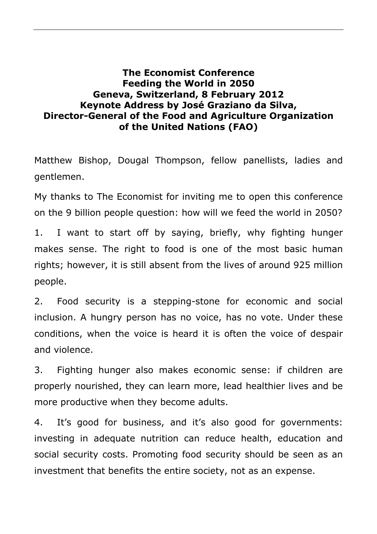## **The Economist Conference Feeding the World in 2050 Geneva, Switzerland, 8 February 2012 Keynote Address by José Graziano da Silva, Director-General of the Food and Agriculture Organization of the United Nations (FAO)**

Matthew Bishop, Dougal Thompson, fellow panellists, ladies and gentlemen.

My thanks to The Economist for inviting me to open this conference on the 9 billion people question: how will we feed the world in 2050?

1. I want to start off by saying, briefly, why fighting hunger makes sense. The right to food is one of the most basic human rights; however, it is still absent from the lives of around 925 million people.

2. Food security is a stepping-stone for economic and social inclusion. A hungry person has no voice, has no vote. Under these conditions, when the voice is heard it is often the voice of despair and violence.

3. Fighting hunger also makes economic sense: if children are properly nourished, they can learn more, lead healthier lives and be more productive when they become adults.

4. It's good for business, and it's also good for governments: investing in adequate nutrition can reduce health, education and social security costs. Promoting food security should be seen as an investment that benefits the entire society, not as an expense.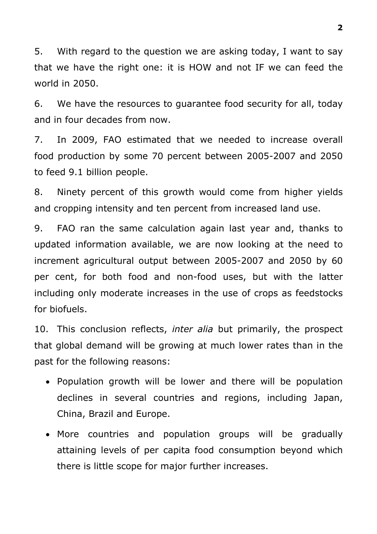5. With regard to the question we are asking today, I want to say that we have the right one: it is HOW and not IF we can feed the world in 2050.

6. We have the resources to guarantee food security for all, today and in four decades from now.

7. In 2009, FAO estimated that we needed to increase overall food production by some 70 percent between 2005-2007 and 2050 to feed 9.1 billion people.

8. Ninety percent of this growth would come from higher yields and cropping intensity and ten percent from increased land use.

9. FAO ran the same calculation again last year and, thanks to updated information available, we are now looking at the need to increment agricultural output between 2005-2007 and 2050 by 60 per cent, for both food and non-food uses, but with the latter including only moderate increases in the use of crops as feedstocks for biofuels.

10. This conclusion reflects, *inter alia* but primarily, the prospect that global demand will be growing at much lower rates than in the past for the following reasons:

- Population growth will be lower and there will be population declines in several countries and regions, including Japan, China, Brazil and Europe.
- More countries and population groups will be gradually attaining levels of per capita food consumption beyond which there is little scope for major further increases.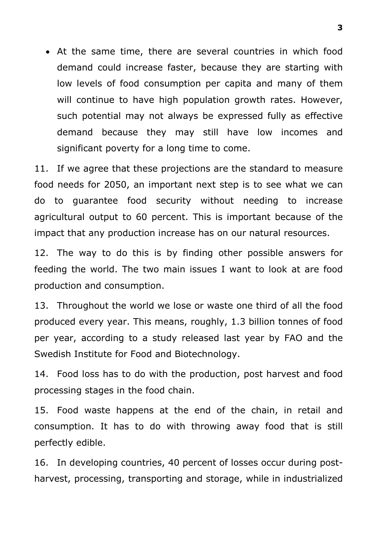• At the same time, there are several countries in which food demand could increase faster, because they are starting with low levels of food consumption per capita and many of them will continue to have high population growth rates. However, such potential may not always be expressed fully as effective demand because they may still have low incomes and significant poverty for a long time to come.

11. If we agree that these projections are the standard to measure food needs for 2050, an important next step is to see what we can do to guarantee food security without needing to increase agricultural output to 60 percent. This is important because of the impact that any production increase has on our natural resources.

12. The way to do this is by finding other possible answers for feeding the world. The two main issues I want to look at are food production and consumption.

13. Throughout the world we lose or waste one third of all the food produced every year. This means, roughly, 1.3 billion tonnes of food per year, according to a study released last year by FAO and the Swedish Institute for Food and Biotechnology.

14. Food loss has to do with the production, post harvest and food processing stages in the food chain.

15. Food waste happens at the end of the chain, in retail and consumption. It has to do with throwing away food that is still perfectly edible.

16. In developing countries, 40 percent of losses occur during postharvest, processing, transporting and storage, while in industrialized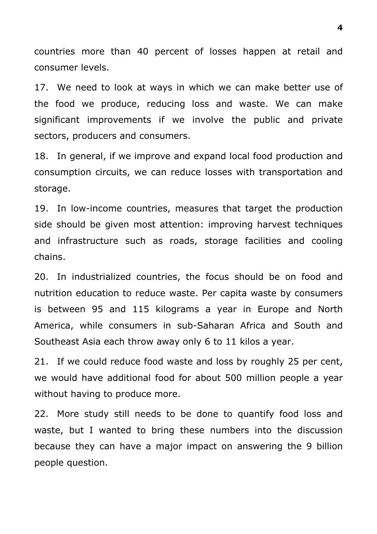countries more than 40 percent of losses happen at retail and consumer levels.

17. We need to look at ways in which we can make better use of the food we produce, reducing loss and waste. We can make significant improvements if we involve the public and private sectors, producers and consumers.

18. In general, if we improve and expand local food production and consumption circuits, we can reduce losses with transportation and storage.

19. In low-income countries, measures that target the production side should be given most attention: improving harvest techniques and infrastructure such as roads, storage facilities and cooling chains.

20. In industrialized countries, the focus should be on food and nutrition education to reduce waste. Per capita waste by consumers is between 95 and 115 kilograms a year in Europe and North America, while consumers in sub-Saharan Africa and South and Southeast Asia each throw away only 6 to 11 kilos a year.

21. If we could reduce food waste and loss by roughly 25 per cent, we would have additional food for about 500 million people a year without having to produce more.

22. More study still needs to be done to quantify food loss and waste, but I wanted to bring these numbers into the discussion because they can have a major impact on answering the 9 billion people question.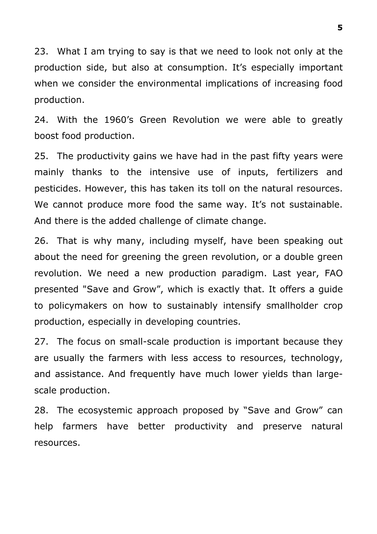23. What I am trying to say is that we need to look not only at the production side, but also at consumption. It's especially important when we consider the environmental implications of increasing food production.

24. With the 1960's Green Revolution we were able to greatly boost food production.

25. The productivity gains we have had in the past fifty years were mainly thanks to the intensive use of inputs, fertilizers and pesticides. However, this has taken its toll on the natural resources. We cannot produce more food the same way. It's not sustainable. And there is the added challenge of climate change.

26. That is why many, including myself, have been speaking out about the need for greening the green revolution, or a double green revolution. We need a new production paradigm. Last year, FAO presented "Save and Grow", which is exactly that. It offers a guide to policymakers on how to sustainably intensify smallholder crop production, especially in developing countries.

27. The focus on small-scale production is important because they are usually the farmers with less access to resources, technology, and assistance. And frequently have much lower yields than largescale production.

28. The ecosystemic approach proposed by "Save and Grow" can help farmers have better productivity and preserve natural resources.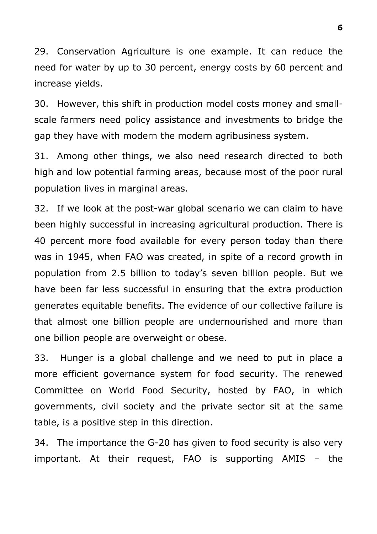29. Conservation Agriculture is one example. It can reduce the need for water by up to 30 percent, energy costs by 60 percent and increase yields.

30. However, this shift in production model costs money and smallscale farmers need policy assistance and investments to bridge the gap they have with modern the modern agribusiness system.

31. Among other things, we also need research directed to both high and low potential farming areas, because most of the poor rural population lives in marginal areas.

32. If we look at the post-war global scenario we can claim to have been highly successful in increasing agricultural production. There is 40 percent more food available for every person today than there was in 1945, when FAO was created, in spite of a record growth in population from 2.5 billion to today's seven billion people. But we have been far less successful in ensuring that the extra production generates equitable benefits. The evidence of our collective failure is that almost one billion people are undernourished and more than one billion people are overweight or obese.

33. Hunger is a global challenge and we need to put in place a more efficient governance system for food security. The renewed Committee on World Food Security, hosted by FAO, in which governments, civil society and the private sector sit at the same table, is a positive step in this direction.

34. The importance the G-20 has given to food security is also very important. At their request, FAO is supporting AMIS – the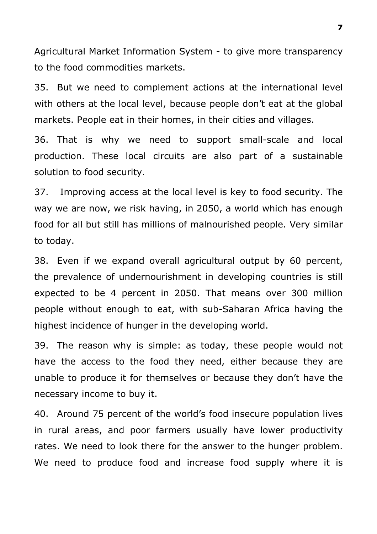Agricultural Market Information System - to give more transparency to the food commodities markets.

35. But we need to complement actions at the international level with others at the local level, because people don't eat at the global markets. People eat in their homes, in their cities and villages.

36. That is why we need to support small-scale and local production. These local circuits are also part of a sustainable solution to food security.

37. Improving access at the local level is key to food security. The way we are now, we risk having, in 2050, a world which has enough food for all but still has millions of malnourished people. Very similar to today.

38. Even if we expand overall agricultural output by 60 percent, the prevalence of undernourishment in developing countries is still expected to be 4 percent in 2050. That means over 300 million people without enough to eat, with sub-Saharan Africa having the highest incidence of hunger in the developing world.

39. The reason why is simple: as today, these people would not have the access to the food they need, either because they are unable to produce it for themselves or because they don't have the necessary income to buy it.

40. Around 75 percent of the world's food insecure population lives in rural areas, and poor farmers usually have lower productivity rates. We need to look there for the answer to the hunger problem. We need to produce food and increase food supply where it is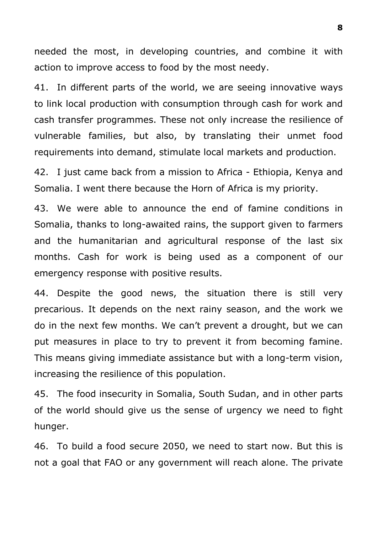needed the most, in developing countries, and combine it with action to improve access to food by the most needy.

41. In different parts of the world, we are seeing innovative ways to link local production with consumption through cash for work and cash transfer programmes. These not only increase the resilience of vulnerable families, but also, by translating their unmet food requirements into demand, stimulate local markets and production.

42. I just came back from a mission to Africa - Ethiopia, Kenya and Somalia. I went there because the Horn of Africa is my priority.

43. We were able to announce the end of famine conditions in Somalia, thanks to long-awaited rains, the support given to farmers and the humanitarian and agricultural response of the last six months. Cash for work is being used as a component of our emergency response with positive results.

44. Despite the good news, the situation there is still very precarious. It depends on the next rainy season, and the work we do in the next few months. We can't prevent a drought, but we can put measures in place to try to prevent it from becoming famine. This means giving immediate assistance but with a long-term vision, increasing the resilience of this population.

45. The food insecurity in Somalia, South Sudan, and in other parts of the world should give us the sense of urgency we need to fight hunger.

46. To build a food secure 2050, we need to start now. But this is not a goal that FAO or any government will reach alone. The private